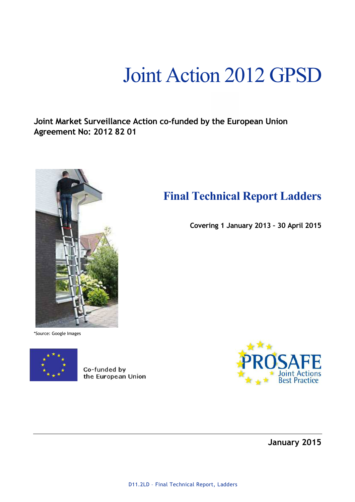# Joint Action 2012 GPSD

**Final Technical Report Ladders** 

**Covering 1 January 2013 – 30 April 2015** 

**Joint Market Surveillance Action co-funded by the European Union Agreement No: 2012 82 01** 



\*Source: Google Images



Co-funded by the European Union



**January 2015**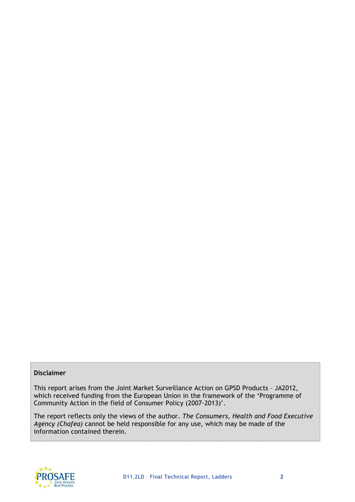### **Disclaimer**

This report arises from the Joint Market Surveillance Action on GPSD Products – JA2012, which received funding from the European Union in the framework of the 'Programme of Community Action in the field of Consumer Policy (2007-2013)'.

The report reflects only the views of the author. *The Consumers, Health and Food Executive Agency (Chafea)* cannot be held responsible for any use, which may be made of the information contained therein.

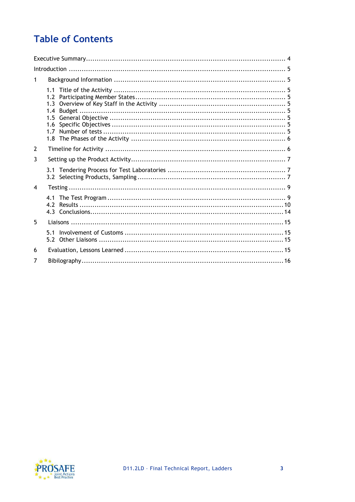# **Table of Contents**

| $\mathbf{1}$   |                              |  |  |  |  |  |  |  |
|----------------|------------------------------|--|--|--|--|--|--|--|
|                | 1.4<br>$1.5 -$<br>1.6<br>1.7 |  |  |  |  |  |  |  |
| $\overline{2}$ |                              |  |  |  |  |  |  |  |
| 3              |                              |  |  |  |  |  |  |  |
|                |                              |  |  |  |  |  |  |  |
| $\overline{4}$ |                              |  |  |  |  |  |  |  |
|                |                              |  |  |  |  |  |  |  |
| 5              |                              |  |  |  |  |  |  |  |
|                | 5.1                          |  |  |  |  |  |  |  |
| 6              |                              |  |  |  |  |  |  |  |
| 7              |                              |  |  |  |  |  |  |  |

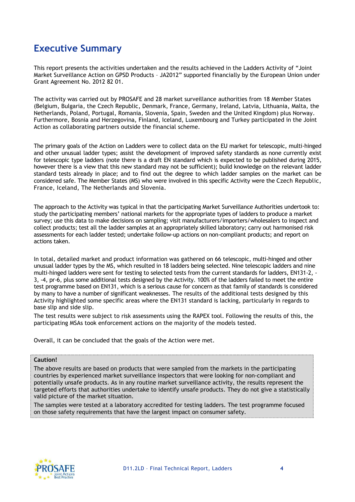### **Executive Summary**

This report presents the activities undertaken and the results achieved in the Ladders Activity of "Joint Market Surveillance Action on GPSD Products – JA2012" supported financially by the European Union under Grant Agreement No. 2012 82 01.

The activity was carried out by PROSAFE and 28 market surveillance authorities from 18 Member States (Belgium, Bulgaria, the Czech Republic, Denmark, France, Germany, Ireland, Latvia, Lithuania, Malta, the Netherlands, Poland, Portugal, Romania, Slovenia, Spain, Sweden and the United Kingdom) plus Norway. Furthermore, Bosnia and Herzegovina, Finland, Iceland, Luxembourg and Turkey participated in the Joint Action as collaborating partners outside the financial scheme.

The primary goals of the Action on Ladders were to collect data on the EU market for telescopic, multi-hinged and other unusual ladder types; assist the development of improved safety standards as none currently exist for telescopic type ladders (note there is a draft EN standard which is expected to be published during 2015, however there is a view that this new standard may not be sufficient); build knowledge on the relevant ladder standard tests already in place; and to find out the degree to which ladder samples on the market can be considered safe. The Member States (MS) who were involved in this specific Activity were the Czech Republic, France, Iceland, The Netherlands and Slovenia.

The approach to the Activity was typical in that the participating Market Surveillance Authorities undertook to: study the participating members' national markets for the appropriate types of ladders to produce a market survey; use this data to make decisions on sampling; visit manufacturers/importers/wholesalers to inspect and collect products; test all the ladder samples at an appropriately skilled laboratory; carry out harmonised risk assessments for each ladder tested; undertake follow-up actions on non-compliant products; and report on actions taken.

In total, detailed market and product information was gathered on 66 telescopic, multi-hinged and other unusual ladder types by the MS, which resulted in 18 ladders being selected. Nine telescopic ladders and nine multi-hinged ladders were sent for testing to selected tests from the current standards for ladders, EN131-2, - 3, -4, pr-6, plus some additional tests designed by the Activity. 100% of the ladders failed to meet the entire test programme based on EN131, which is a serious cause for concern as that family of standards is considered by many to have a number of significant weaknesses. The results of the additional tests designed by this Activity highlighted some specific areas where the EN131 standard is lacking, particularly in regards to base slip and side slip.

The test results were subject to risk assessments using the RAPEX tool. Following the results of this, the participating MSAs took enforcement actions on the majority of the models tested.

Overall, it can be concluded that the goals of the Action were met.

#### **Caution!**

The above results are based on products that were sampled from the markets in the participating countries by experienced market surveillance inspectors that were looking for non-compliant and potentially unsafe products. As in any routine market surveillance activity, the results represent the targeted efforts that authorities undertake to identify unsafe products. They do not give a statistically valid picture of the market situation.

The samples were tested at a laboratory accredited for testing ladders. The test programme focused on those safety requirements that have the largest impact on consumer safety.

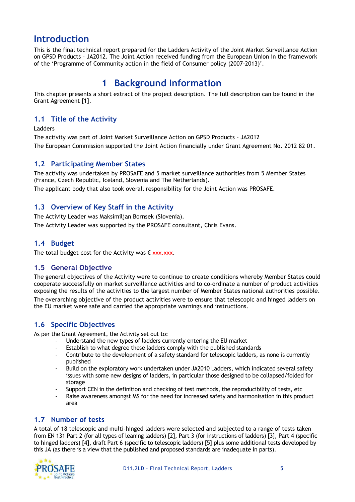### **Introduction**

This is the final technical report prepared for the Ladders Activity of the Joint Market Surveillance Action on GPSD Products – JA2012. The Joint Action received funding from the European Union in the framework of the 'Programme of Community action in the field of Consumer policy (2007-2013)'.

# **1 Background Information**

This chapter presents a short extract of the project description. The full description can be found in the Grant Agreement [1].

### **1.1 Title of the Activity**

Ladders

The activity was part of Joint Market Surveillance Action on GPSD Products – JA2012 The European Commission supported the Joint Action financially under Grant Agreement No. 2012 82 01.

### **1.2 Participating Member States**

The activity was undertaken by PROSAFE and 5 market surveillance authorities from 5 Member States (France, Czech Republic, Iceland, Slovenia and The Netherlands).

The applicant body that also took overall responsibility for the Joint Action was PROSAFE.

### **1.3 Overview of Key Staff in the Activity**

The Activity Leader was Maksimiljan Bornsek (Slovenia). The Activity Leader was supported by the PROSAFE consultant, Chris Evans.

### **1.4 Budget**

The total budget cost for the Activity was  $\epsilon$  xxx.xxx.

### **1.5 General Objective**

The general objectives of the Activity were to continue to create conditions whereby Member States could cooperate successfully on market surveillance activities and to co-ordinate a number of product activities exposing the results of the activities to the largest number of Member States national authorities possible.

The overarching objective of the product activities were to ensure that telescopic and hinged ladders on the EU market were safe and carried the appropriate warnings and instructions.

### **1.6 Specific Objectives**

As per the Grant Agreement, the Activity set out to:

- Understand the new types of ladders currently entering the EU market
- Establish to what degree these ladders comply with the published standards
- Contribute to the development of a safety standard for telescopic ladders, as none is currently published
- Build on the exploratory work undertaken under JA2010 Ladders, which indicated several safety issues with some new designs of ladders, in particular those designed to be collapsed/folded for storage
- Support CEN in the definition and checking of test methods, the reproducibility of tests, etc
- Raise awareness amongst MS for the need for increased safety and harmonisation in this product area

### **1.7 Number of tests**

A total of 18 telescopic and multi-hinged ladders were selected and subjected to a range of tests taken from EN 131 Part 2 (for all types of leaning ladders) [2], Part 3 (for instructions of ladders) [3], Part 4 (specific to hinged ladders) [4], draft Part 6 (specific to telescopic ladders) [5] plus some additional tests developed by this JA (as there is a view that the published and proposed standards are inadequate in parts).

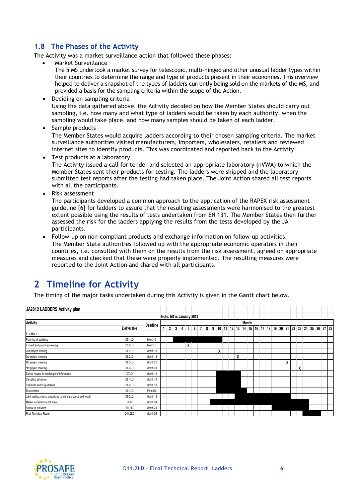### **1.8 The Phases of the Activity**

The Activity was a market surveillance action that followed these phases:

Market Surveillance

The 5 MS undertook a market survey for telescopic, multi-hinged and other unusual ladder types within their countries to determine the range and type of products present in their economies. This overview helped to deliver a snapshot of the types of ladders currently being sold on the markets of the MS, and provided a basis for the sampling criteria within the scope of the Action.

- Deciding on sampling criteria Using the data gathered above, the Activity decided on how the Member States should carry out sampling, i.e. how many and what type of ladders would be taken by each authority, when the sampling would take place, and how many samples should be taken of each ladder.
- Sample products

The Member States would acquire ladders according to their chosen sampling criteria. The market surveillance authorities visited manufacturers, importers, wholesalers, retailers and reviewed internet sites to identify products. This was coordinated and reported back to the Activity.

- Test products at a laboratory The Activity issued a call for tender and selected an appropriate laboratory (nVWA) to which the Member States sent their products for testing. The ladders were shipped and the laboratory submitted test reports after the testing had taken place. The Joint Action shared all test reports with all the participants.
- Risk assessment

The participants developed a common approach to the application of the RAPEX risk assessment guideline [6] for ladders to assure that the resulting assessments were harmonised to the greatest extent possible using the results of tests undertaken from EN 131. The Member States then further assessed the risk for the ladders applying the results from the tests developed by the JA participants.

• Follow-up on non-compliant products and exchange information on follow-up activities. The Member State authorities followed up with the appropriate economic operators in their countries, i.e. consulted with them on the results from the risk assessment, agreed on appropriate measures and checked that these were properly implemented. The resulting measures were reported to the Joint Action and shared with all participants.

# **2 Timeline for Activity**

The timing of the major tasks undertaken during this Activity is given in the Gantt chart below.

| JA2012 LADDERS Activity plan                                |                    |          |                          |                |   |                |   |  |  |   |  |   |              |  |  |   |   |                                                                    |  |  |
|-------------------------------------------------------------|--------------------|----------|--------------------------|----------------|---|----------------|---|--|--|---|--|---|--------------|--|--|---|---|--------------------------------------------------------------------|--|--|
|                                                             |                    |          | Note: M1 is January 2013 |                |   |                |   |  |  |   |  |   |              |  |  |   |   |                                                                    |  |  |
| Activity                                                    |                    | Deadline |                          |                |   |                |   |  |  |   |  |   | <b>Month</b> |  |  |   |   |                                                                    |  |  |
|                                                             | Deliverable        |          | 1                        | $\overline{2}$ | 3 | $\overline{4}$ |   |  |  |   |  |   |              |  |  |   |   | 5 6 7 8 9 10 11 12 13 14 15 16 17 18 19 20 21 22 23 24 25 26 27 28 |  |  |
| Ladders                                                     |                    |          |                          |                |   |                |   |  |  |   |  |   |              |  |  |   |   |                                                                    |  |  |
| Planning of activities                                      | D5.1LD             | Month 6  |                          |                |   |                |   |  |  |   |  |   |              |  |  |   |   |                                                                    |  |  |
| Kick-off and planning meeting                               | D5.2LD             | Month 5  |                          |                |   |                | x |  |  |   |  |   |              |  |  |   |   |                                                                    |  |  |
| 2nd project meeting                                         | D6.1LD             | Month 10 |                          |                |   |                |   |  |  | X |  |   |              |  |  |   |   |                                                                    |  |  |
| 3rd project meeting                                         | D6.2LD             | Month 13 |                          |                |   |                |   |  |  |   |  | X |              |  |  |   |   |                                                                    |  |  |
| 4th project meeting                                         | D6.3LD             | Month 21 |                          |                |   |                |   |  |  |   |  |   |              |  |  | X |   |                                                                    |  |  |
| 5th project meeting                                         | D6.4LD             | Month 23 |                          |                |   |                |   |  |  |   |  |   |              |  |  |   | χ |                                                                    |  |  |
| Set up means for exchange of information                    | D7LD               | Month 10 |                          |                |   |                |   |  |  |   |  |   |              |  |  |   |   |                                                                    |  |  |
| Sampling schemes                                            | D8.1LD             | Month 10 |                          |                |   |                |   |  |  |   |  |   |              |  |  |   |   |                                                                    |  |  |
| Checklist and/or guidelines                                 | D8.2LD             | Month 10 |                          |                |   |                |   |  |  |   |  |   |              |  |  |   |   |                                                                    |  |  |
| Test criteria                                               | D9.1LD             | Month10  |                          |                |   |                |   |  |  |   |  |   |              |  |  |   |   |                                                                    |  |  |
| Joint testing, memo describing tendering process and result | D9.2LD             | Month 13 |                          |                |   |                |   |  |  |   |  |   |              |  |  |   |   |                                                                    |  |  |
| Market surveillance activities                              | D <sub>10</sub> LD | Month 24 |                          |                |   |                |   |  |  |   |  |   |              |  |  |   |   |                                                                    |  |  |
| Follow-up activities                                        | D11.1LD            | Month 24 |                          |                |   |                |   |  |  |   |  |   |              |  |  |   |   |                                                                    |  |  |
| Final Technical Report                                      | D11.2LD            | Month 26 |                          |                |   |                |   |  |  |   |  |   |              |  |  |   |   |                                                                    |  |  |

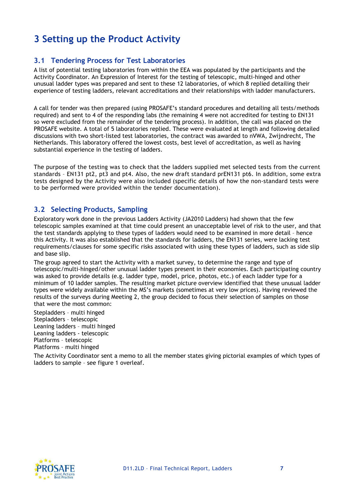# **3 Setting up the Product Activity**

### **3.1 Tendering Process for Test Laboratories**

A list of potential testing laboratories from within the EEA was populated by the participants and the Activity Coordinator. An Expression of Interest for the testing of telescopic, multi-hinged and other unusual ladder types was prepared and sent to these 12 laboratories, of which 8 replied detailing their experience of testing ladders, relevant accreditations and their relationships with ladder manufacturers.

A call for tender was then prepared (using PROSAFE's standard procedures and detailing all tests/methods required) and sent to 4 of the responding labs (the remaining 4 were not accredited for testing to EN131 so were excluded from the remainder of the tendering process). In addition, the call was placed on the PROSAFE website. A total of 5 laboratories replied. These were evaluated at length and following detailed discussions with two short-listed test laboratories, the contract was awarded to nVWA, Zwijndrecht, The Netherlands. This laboratory offered the lowest costs, best level of accreditation, as well as having substantial experience in the testing of ladders.

The purpose of the testing was to check that the ladders supplied met selected tests from the current standards – EN131 pt2, pt3 and pt4. Also, the new draft standard prEN131 pt6. In addition, some extra tests designed by the Activity were also included (specific details of how the non-standard tests were to be performed were provided within the tender documentation).

### **3.2 Selecting Products, Sampling**

Exploratory work done in the previous Ladders Activity (JA2010 Ladders) had shown that the few telescopic samples examined at that time could present an unacceptable level of risk to the user, and that the test standards applying to these types of ladders would need to be examined in more detail – hence this Activity. It was also established that the standards for ladders, the EN131 series, were lacking test requirements/clauses for some specific risks associated with using these types of ladders, such as side slip and base slip.

The group agreed to start the Activity with a market survey, to determine the range and type of telescopic/multi-hinged/other unusual ladder types present in their economies. Each participating country was asked to provide details (e.g. ladder type, model, price, photos, etc.) of each ladder type for a minimum of 10 ladder samples. The resulting market picture overview identified that these unusual ladder types were widely available within the MS's markets (sometimes at very low prices). Having reviewed the results of the surveys during Meeting 2, the group decided to focus their selection of samples on those that were the most common:

Stepladders – multi hinged Stepladders – telescopic Leaning ladders – multi hinged Leaning ladders - telescopic Platforms – telescopic Platforms – multi hinged

The Activity Coordinator sent a memo to all the member states giving pictorial examples of which types of ladders to sample – see figure 1 overleaf.

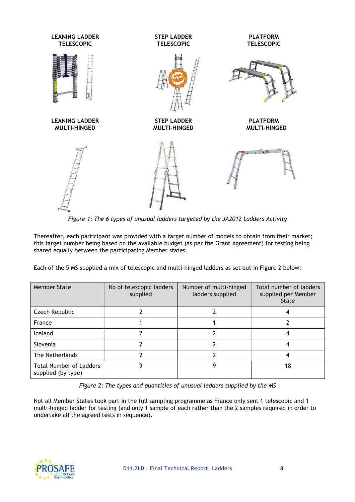

*Figure 1: The 6 types of unusual ladders targeted by the JA2012 Ladders Activity* 

Thereafter, each participant was provided with a target number of models to obtain from their market; this target number being based on the available budget (as per the Grant Agreement) for testing being shared equally between the participating Member states.

Each of the 5 MS supplied a mix of telescopic and multi-hinged ladders as set out in Figure 2 below:

| Member State                                         | No of telescopic ladders<br>supplied | Number of multi-hinged<br>ladders supplied | Total number of ladders<br>supplied per Member<br>State |
|------------------------------------------------------|--------------------------------------|--------------------------------------------|---------------------------------------------------------|
| Czech Republic                                       |                                      |                                            |                                                         |
| France                                               |                                      |                                            |                                                         |
| Iceland                                              |                                      |                                            |                                                         |
| Slovenia                                             |                                      |                                            |                                                         |
| The Netherlands                                      |                                      |                                            |                                                         |
| <b>Total Number of Ladders</b><br>supplied (by type) |                                      |                                            | 18                                                      |

*Figure 2: The types and quantities of unusual ladders supplied by the MS* 

Not all Member States took part in the full sampling programme as France only sent 1 telescopic and 1 multi-hinged ladder for testing (and only 1 sample of each rather than the 2 samples required in order to undertake all the agreed tests in sequence).

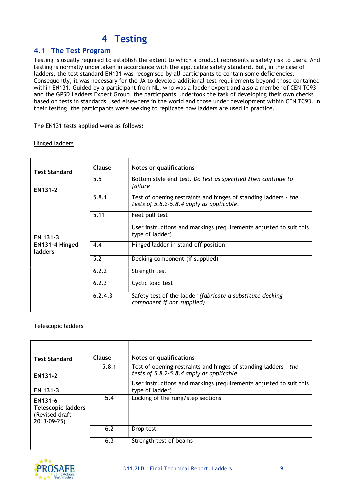# **4 Testing**

### **4.1 The Test Program**

Testing is usually required to establish the extent to which a product represents a safety risk to users. And testing is normally undertaken in accordance with the applicable safety standard. But, in the case of ladders, the test standard EN131 was recognised by all participants to contain some deficiencies. Consequently, it was necessary for the JA to develop additional test requirements beyond those contained within EN131. Guided by a participant from NL, who was a ladder expert and also a member of CEN TC93 and the GPSD Ladders Expert Group, the participants undertook the task of developing their own checks based on tests in standards used elsewhere in the world and those under development within CEN TC93. In their testing, the participants were seeking to replicate how ladders are used in practice.

The EN131 tests applied were as follows:

#### Hinged ladders

| <b>Test Standard</b>      | Clause  | Notes or qualifications                                                                                      |
|---------------------------|---------|--------------------------------------------------------------------------------------------------------------|
| EN131-2                   | 5.5     | Bottom style end test. Do test as specified then continue to<br>failure                                      |
|                           | 5.8.1   | Test of opening restraints and hinges of standing ladders - the<br>tests of 5.8.2-5.8.4 apply as applicable. |
|                           | 5.11    | Feet pull test                                                                                               |
| EN 131-3                  |         | User instructions and markings (requirements adjusted to suit this<br>type of ladder)                        |
| EN131-4 Hinged<br>ladders | 4.4     | Hinged ladder in stand-off position                                                                          |
|                           | 5.2     | Decking component (if supplied)                                                                              |
|                           | 6.2.2   | Strength test                                                                                                |
|                           | 6.2.3   | Cyclic load test                                                                                             |
|                           | 6.2.4.3 | Safety test of the ladder (fabricate a substitute decking<br>component if not supplied)                      |

#### Telescopic ladders

| <b>Test Standard</b>                                                  | Clause | Notes or qualifications                                            |
|-----------------------------------------------------------------------|--------|--------------------------------------------------------------------|
|                                                                       |        |                                                                    |
|                                                                       | 5.8.1  | Test of opening restraints and hinges of standing ladders - the    |
| EN131-2                                                               |        | tests of 5.8.2-5.8.4 apply as applicable.                          |
|                                                                       |        | User instructions and markings (requirements adjusted to suit this |
| EN 131-3                                                              |        | type of ladder)                                                    |
| EN131-6<br><b>Telescopic ladders</b><br>(Revised draft<br>2013-09-25) | 5.4    | Locking of the rung/step sections                                  |
|                                                                       | 6.2    | Drop test                                                          |
|                                                                       | 6.3    | Strength test of beams                                             |

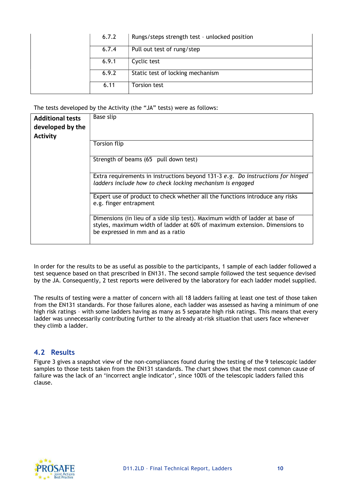| 6.7.2 | Rungs/steps strength test - unlocked position |
|-------|-----------------------------------------------|
| 6.7.4 | Pull out test of rung/step                    |
| 6.9.1 | Cyclic test                                   |
| 6.9.2 | Static test of locking mechanism              |
| 6.11  | <b>Torsion test</b>                           |

The tests developed by the Activity (the "JA" tests) were as follows:

| <b>Additional tests</b><br>developed by the<br><b>Activity</b> | Base slip                                                                                                                                                                                       |
|----------------------------------------------------------------|-------------------------------------------------------------------------------------------------------------------------------------------------------------------------------------------------|
|                                                                | Torsion flip                                                                                                                                                                                    |
|                                                                | Strength of beams (65 pull down test)                                                                                                                                                           |
|                                                                | Extra requirements in instructions beyond 131-3 e.g. Do instructions for hinged<br>ladders include how to check locking mechanism is engaged                                                    |
|                                                                | Expert use of product to check whether all the functions introduce any risks<br>e.g. finger entrapment                                                                                          |
|                                                                | Dimensions (in lieu of a side slip test). Maximum width of ladder at base of<br>styles, maximum width of ladder at 60% of maximum extension. Dimensions to<br>be expressed in mm and as a ratio |

In order for the results to be as useful as possible to the participants, 1 sample of each ladder followed a test sequence based on that prescribed in EN131. The second sample followed the test sequence devised by the JA. Consequently, 2 test reports were delivered by the laboratory for each ladder model supplied.

The results of testing were a matter of concern with all 18 ladders failing at least one test of those taken from the EN131 standards. For those failures alone, each ladder was assessed as having a minimum of one high risk ratings – with some ladders having as many as 5 separate high risk ratings. This means that every ladder was unnecessarily contributing further to the already at-risk situation that users face whenever they climb a ladder.

### **4.2 Results**

Figure 3 gives a snapshot view of the non-compliances found during the testing of the 9 telescopic ladder samples to those tests taken from the EN131 standards. The chart shows that the most common cause of failure was the lack of an 'incorrect angle indicator', since 100% of the telescopic ladders failed this clause.

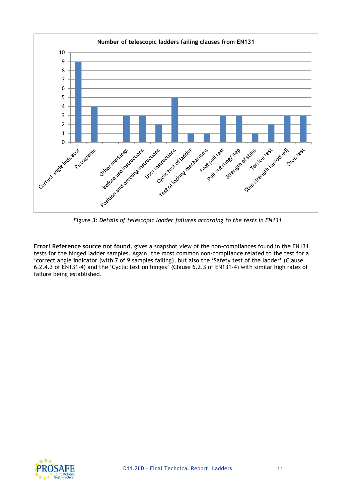

*Figure 3: Details of telescopic ladder failures according to the tests in EN131* 

**Error! Reference source not found.** gives a snapshot view of the non-compliances found in the EN131 tests for the hinged ladder samples. Again, the most common non-compliance related to the test for a 'correct angle indicator (with 7 of 9 samples failing), but also the 'Safety test of the ladder' (Clause 6.2.4.3 of EN131-4) and the 'Cyclic test on hinges' (Clause 6.2.3 of EN131-4) with similar high rates of failure being established.

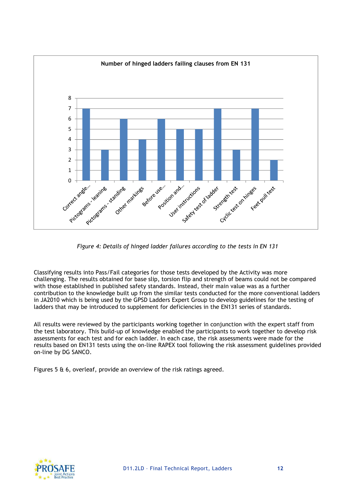

*Figure 4: Details of hinged ladder failures according to the tests in EN 131* 

Classifying results into Pass/Fail categories for those tests developed by the Activity was more challenging. The results obtained for base slip, torsion flip and strength of beams could not be compared with those established in published safety standards. Instead, their main value was as a further contribution to the knowledge built up from the similar tests conducted for the more conventional ladders in JA2010 which is being used by the GPSD Ladders Expert Group to develop guidelines for the testing of ladders that may be introduced to supplement for deficiencies in the EN131 series of standards.

All results were reviewed by the participants working together in conjunction with the expert staff from the test laboratory. This build-up of knowledge enabled the participants to work together to develop risk assessments for each test and for each ladder. In each case, the risk assessments were made for the results based on EN131 tests using the on-line RAPEX tool following the risk assessment guidelines provided on-line by DG SANCO.

Figures 5 & 6, overleaf, provide an overview of the risk ratings agreed.

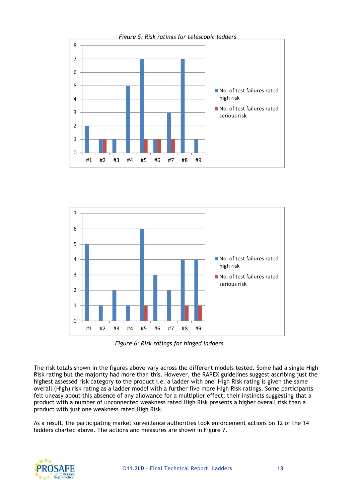



*Figure 6: Risk ratings for hinged ladders* 

The risk totals shown in the figures above vary across the different models tested. Some had a single High Risk rating but the majority had more than this. However, the RAPEX guidelines suggest ascribing just the highest assessed risk category to the product i.e. a ladder with one High Risk rating is given the same overall (High) risk rating as a ladder model with a further five more High Risk ratings. Some participants felt uneasy about this absence of any allowance for a multiplier effect; their instincts suggesting that a product with a number of unconnected weakness rated High Risk presents a higher overall risk than a product with just one weakness rated High Risk.

As a result, the participating market surveillance authorities took enforcement actions on 12 of the 14 ladders charted above. The actions and measures are shown in Figure 7.

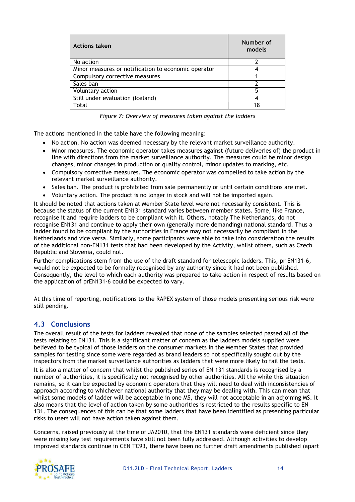| <b>Actions taken</b>                                | Number of<br>models |
|-----------------------------------------------------|---------------------|
| No action                                           |                     |
| Minor measures or notification to economic operator |                     |
| Compulsory corrective measures                      |                     |
| Sales ban                                           |                     |
| Voluntary action                                    |                     |
| Still under evaluation (Iceland)                    |                     |
| Total                                               | 18                  |

*Figure 7: Overview of measures taken against the ladders* 

The actions mentioned in the table have the following meaning:

- No action. No action was deemed necessary by the relevant market surveillance authority.
- Minor measures. The economic operator takes measures against (future deliveries of) the product in line with directions from the market surveillance authority. The measures could be minor design changes, minor changes in production or quality control, minor updates to marking, etc.
- Compulsory corrective measures. The economic operator was compelled to take action by the relevant market surveillance authority.
- Sales ban. The product is prohibited from sale permanently or until certain conditions are met.
- Voluntary action. The product is no longer in stock and will not be imported again.

It should be noted that actions taken at Member State level were not necessarily consistent. This is because the status of the current EN131 standard varies between member states. Some, like France, recognise it and require ladders to be compliant with it. Others, notably The Netherlands, do not recognise EN131 and continue to apply their own (generally more demanding) national standard. Thus a ladder found to be compliant by the authorities in France may not necessarily be compliant in the Netherlands and vice versa. Similarly, some participants were able to take into consideration the results of the additional non-EN131 tests that had been developed by the Activity, whilst others, such as Czech Republic and Slovenia, could not.

Further complications stem from the use of the draft standard for telescopic ladders. This, pr EN131-6, would not be expected to be formally recognised by any authority since it had not been published. Consequently, the level to which each authority was prepared to take action in respect of results based on the application of prEN131-6 could be expected to vary.

At this time of reporting, notifications to the RAPEX system of those models presenting serious risk were still pending.

### **4.3 Conclusions**

The overall result of the tests for ladders revealed that none of the samples selected passed all of the tests relating to EN131. This is a significant matter of concern as the ladders models supplied were believed to be typical of those ladders on the consumer markets in the Member States that provided samples for testing since some were regarded as brand leaders so not specifically sought out by the inspectors from the market surveillance authorities as ladders that were more likely to fail the tests.

It is also a matter of concern that whilst the published series of EN 131 standards is recognised by a number of authorities, it is specifically not recognised by other authorities. All the while this situation remains, so it can be expected by economic operators that they will need to deal with inconsistencies of approach according to whichever national authority that they may be dealing with. This can mean that whilst some models of ladder will be acceptable in one MS, they will not acceptable in an adjoining MS. It also means that the level of action taken by some authorities is restricted to the results specific to EN 131. The consequences of this can be that some ladders that have been identified as presenting particular risks to users will not have action taken against them.

Concerns, raised previously at the time of JA2010, that the EN131 standards were deficient since they were missing key test requirements have still not been fully addressed. Although activities to develop improved standards continue in CEN TC93, there have been no further draft amendments published (apart

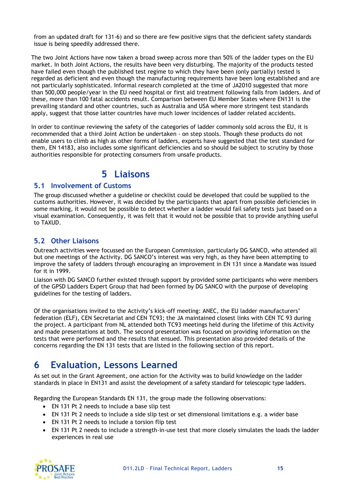from an updated draft for 131-6) and so there are few positive signs that the deficient safety standards issue is being speedily addressed there.

The two Joint Actions have now taken a broad sweep across more than 50% of the ladder types on the EU market. In both Joint Actions, the results have been very disturbing. The majority of the products tested have failed even though the published test regime to which they have been (only partially) tested is regarded as deficient and even though the manufacturing requirements have been long established and are not particularly sophisticated. Informal research completed at the time of JA2010 suggested that more than 500,000 people/year in the EU need hospital or first aid treatment following falls from ladders. And of these, more than 100 fatal accidents result. Comparison between EU Member States where EN131 is the prevailing standard and other countries, such as Australia and USA where more stringent test standards apply, suggest that those latter countries have much lower incidences of ladder related accidents.

In order to continue reviewing the safety of the categories of ladder commonly sold across the EU, it is recommended that a third Joint Action be undertaken - on step stools. Though these products do not enable users to climb as high as other forms of ladders, experts have suggested that the test standard for them, EN 14183, also includes some significant deficiencies and so should be subject to scrutiny by those authorities responsible for protecting consumers from unsafe products.

### **5 Liaisons**

### **5.1 Involvement of Customs**

The group discussed whether a guideline or checklist could be developed that could be supplied to the customs authorities. However, it was decided by the participants that apart from possible deficiencies in some marking, it would not be possible to detect whether a ladder would fail safety tests just based on a visual examination. Consequently, it was felt that it would not be possible that to provide anything useful to TAXUD.

### **5.2 Other Liaisons**

Outreach activities were focussed on the European Commission, particularly DG SANCO, who attended all but one meetings of the Activity. DG SANCO's interest was very high, as they have been attempting to improve the safety of ladders through encouraging an improvement in EN 131 since a Mandate was issued for it in 1999.

Liaison with DG SANCO further existed through support by provided some participants who were members of the GPSD Ladders Expert Group that had been formed by DG SANCO with the purpose of developing guidelines for the testing of ladders.

Of the organisations invited to the Activity's kick-off meeting: ANEC, the EU ladder manufacturers' federation (ELF), CEN Secretariat and CEN TC93; the JA maintained closest links with CEN TC 93 during the project. A participant from NL attended both TC93 meetings held during the lifetime of this Activity and made presentations at both. The second presentation was focused on providing information on the tests that were performed and the results that ensued. This presentation also provided details of the concerns regarding the EN 131 tests that are listed in the following section of this report.

# **6 Evaluation, Lessons Learned**

As set out in the Grant Agreement, one action for the Activity was to build knowledge on the ladder standards in place in EN131 and assist the development of a safety standard for telescopic type ladders.

Regarding the European Standards EN 131, the group made the following observations:

- EN 131 Pt 2 needs to include a base slip test
- EN 131 Pt 2 needs to include a side slip test or set dimensional limitations e.g. a wider base
- EN 131 Pt 2 needs to include a torsion flip test
- EN 131 Pt 2 needs to include a strength-in-use test that more closely simulates the loads the ladder experiences in real use